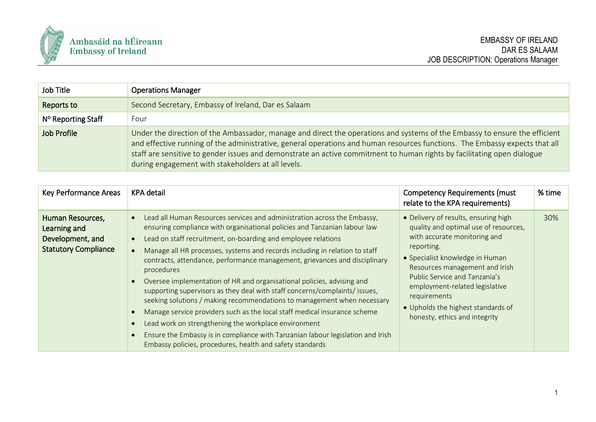

| Job Title                      | <b>Operations Manager</b>                                                                                                                                                                                                                                                                                                                                                                                                                  |
|--------------------------------|--------------------------------------------------------------------------------------------------------------------------------------------------------------------------------------------------------------------------------------------------------------------------------------------------------------------------------------------------------------------------------------------------------------------------------------------|
| Reports to                     | Second Secretary, Embassy of Ireland, Dar es Salaam                                                                                                                                                                                                                                                                                                                                                                                        |
| N <sup>o</sup> Reporting Staff | Four                                                                                                                                                                                                                                                                                                                                                                                                                                       |
| Job Profile                    | Under the direction of the Ambassador, manage and direct the operations and systems of the Embassy to ensure the efficient<br>and effective running of the administrative, general operations and human resources functions. The Embassy expects that all<br>staff are sensitive to gender issues and demonstrate an active commitment to human rights by facilitating open dialogue<br>during engagement with stakeholders at all levels. |

| Key Performance Areas                                                               | KPA detail                                                                                                                                                                                                                                                                                                                                                                                                                                                                                                                                                                                                                                                                                                                                                                                                                                                                                                                                                                                                            | <b>Competency Requirements (must</b><br>relate to the KPA requirements)                                                                                                                                                                                                                                                                                    | % time |
|-------------------------------------------------------------------------------------|-----------------------------------------------------------------------------------------------------------------------------------------------------------------------------------------------------------------------------------------------------------------------------------------------------------------------------------------------------------------------------------------------------------------------------------------------------------------------------------------------------------------------------------------------------------------------------------------------------------------------------------------------------------------------------------------------------------------------------------------------------------------------------------------------------------------------------------------------------------------------------------------------------------------------------------------------------------------------------------------------------------------------|------------------------------------------------------------------------------------------------------------------------------------------------------------------------------------------------------------------------------------------------------------------------------------------------------------------------------------------------------------|--------|
| Human Resources,<br>Learning and<br>Development, and<br><b>Statutory Compliance</b> | Lead all Human Resources services and administration across the Embassy,<br>$\bullet$<br>ensuring compliance with organisational policies and Tanzanian labour law<br>Lead on staff recruitment, on-boarding and employee relations<br>$\bullet$<br>Manage all HR processes, systems and records including in relation to staff<br>$\bullet$<br>contracts, attendance, performance management, grievances and disciplinary<br>procedures<br>Oversee implementation of HR and organisational policies, advising and<br>$\bullet$<br>supporting supervisors as they deal with staff concerns/complaints/ issues,<br>seeking solutions / making recommendations to management when necessary<br>Manage service providers such as the local staff medical insurance scheme<br>$\bullet$<br>Lead work on strengthening the workplace environment<br>$\bullet$<br>Ensure the Embassy is in compliance with Tanzanian labour legislation and Irish<br>$\bullet$<br>Embassy policies, procedures, health and safety standards | • Delivery of results, ensuring high<br>quality and optimal use of resources,<br>with accurate monitoring and<br>reporting.<br>• Specialist knowledge in Human<br>Resources management and Irish<br>Public Service and Tanzania's<br>employment-related legislative<br>requirements<br>• Upholds the highest standards of<br>honesty, ethics and integrity | 30%    |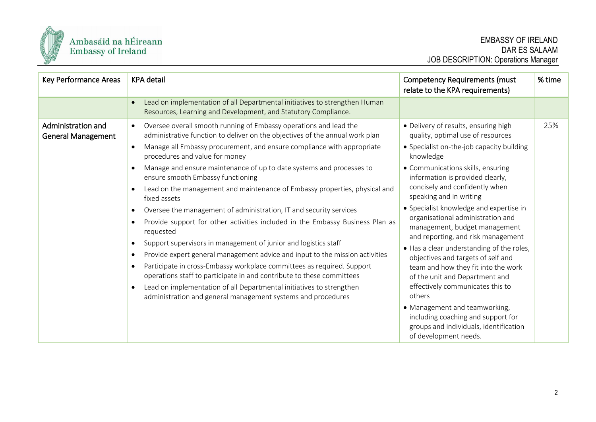

| Key Performance Areas                           | <b>KPA</b> detail<br><b>Competency Requirements (must</b><br>relate to the KPA requirements)                                                                                                                                                                                                                                                                                                                                                                                                                                                                                                                                                                                                                                                                                                                                                                                                                                                                                                                                                                                                                                                                                                                                 |                                                                                                                                                                                                                                                                                                                                                                                                                                                                                                                                                                                                                                                                                                                                                                                      |     |
|-------------------------------------------------|------------------------------------------------------------------------------------------------------------------------------------------------------------------------------------------------------------------------------------------------------------------------------------------------------------------------------------------------------------------------------------------------------------------------------------------------------------------------------------------------------------------------------------------------------------------------------------------------------------------------------------------------------------------------------------------------------------------------------------------------------------------------------------------------------------------------------------------------------------------------------------------------------------------------------------------------------------------------------------------------------------------------------------------------------------------------------------------------------------------------------------------------------------------------------------------------------------------------------|--------------------------------------------------------------------------------------------------------------------------------------------------------------------------------------------------------------------------------------------------------------------------------------------------------------------------------------------------------------------------------------------------------------------------------------------------------------------------------------------------------------------------------------------------------------------------------------------------------------------------------------------------------------------------------------------------------------------------------------------------------------------------------------|-----|
|                                                 | Lead on implementation of all Departmental initiatives to strengthen Human<br>$\bullet$<br>Resources, Learning and Development, and Statutory Compliance.                                                                                                                                                                                                                                                                                                                                                                                                                                                                                                                                                                                                                                                                                                                                                                                                                                                                                                                                                                                                                                                                    |                                                                                                                                                                                                                                                                                                                                                                                                                                                                                                                                                                                                                                                                                                                                                                                      |     |
| Administration and<br><b>General Management</b> | Oversee overall smooth running of Embassy operations and lead the<br>$\bullet$<br>administrative function to deliver on the objectives of the annual work plan<br>Manage all Embassy procurement, and ensure compliance with appropriate<br>$\bullet$<br>procedures and value for money<br>Manage and ensure maintenance of up to date systems and processes to<br>$\bullet$<br>ensure smooth Embassy functioning<br>Lead on the management and maintenance of Embassy properties, physical and<br>$\bullet$<br>fixed assets<br>Oversee the management of administration, IT and security services<br>$\bullet$<br>Provide support for other activities included in the Embassy Business Plan as<br>$\bullet$<br>requested<br>Support supervisors in management of junior and logistics staff<br>$\bullet$<br>Provide expert general management advice and input to the mission activities<br>$\bullet$<br>Participate in cross-Embassy workplace committees as required. Support<br>$\bullet$<br>operations staff to participate in and contribute to these committees<br>Lead on implementation of all Departmental initiatives to strengthen<br>$\bullet$<br>administration and general management systems and procedures | • Delivery of results, ensuring high<br>quality, optimal use of resources<br>• Specialist on-the-job capacity building<br>knowledge<br>• Communications skills, ensuring<br>information is provided clearly,<br>concisely and confidently when<br>speaking and in writing<br>• Specialist knowledge and expertise in<br>organisational administration and<br>management, budget management<br>and reporting, and risk management<br>• Has a clear understanding of the roles,<br>objectives and targets of self and<br>team and how they fit into the work<br>of the unit and Department and<br>effectively communicates this to<br>others<br>• Management and teamworking,<br>including coaching and support for<br>groups and individuals, identification<br>of development needs. | 25% |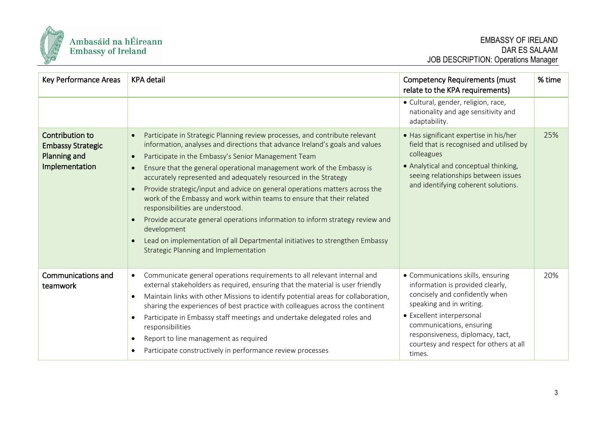

| Key Performance Areas                                                         | <b>KPA</b> detail                                                                                                                                                                                                                                                                                                                                                                                                                                                                                                                                                                                                                                                                                                                                                                                                                                                  | <b>Competency Requirements (must</b><br>relate to the KPA requirements)                                                                                                                                                                                                              | % time |
|-------------------------------------------------------------------------------|--------------------------------------------------------------------------------------------------------------------------------------------------------------------------------------------------------------------------------------------------------------------------------------------------------------------------------------------------------------------------------------------------------------------------------------------------------------------------------------------------------------------------------------------------------------------------------------------------------------------------------------------------------------------------------------------------------------------------------------------------------------------------------------------------------------------------------------------------------------------|--------------------------------------------------------------------------------------------------------------------------------------------------------------------------------------------------------------------------------------------------------------------------------------|--------|
|                                                                               |                                                                                                                                                                                                                                                                                                                                                                                                                                                                                                                                                                                                                                                                                                                                                                                                                                                                    | · Cultural, gender, religion, race,<br>nationality and age sensitivity and<br>adaptability.                                                                                                                                                                                          |        |
| Contribution to<br><b>Embassy Strategic</b><br>Planning and<br>Implementation | Participate in Strategic Planning review processes, and contribute relevant<br>$\bullet$<br>information, analyses and directions that advance Ireland's goals and values<br>Participate in the Embassy's Senior Management Team<br>$\bullet$<br>Ensure that the general operational management work of the Embassy is<br>$\bullet$<br>accurately represented and adequately resourced in the Strategy<br>Provide strategic/input and advice on general operations matters across the<br>$\bullet$<br>work of the Embassy and work within teams to ensure that their related<br>responsibilities are understood.<br>Provide accurate general operations information to inform strategy review and<br>$\bullet$<br>development<br>Lead on implementation of all Departmental initiatives to strengthen Embassy<br>$\bullet$<br>Strategic Planning and Implementation | • Has significant expertise in his/her<br>field that is recognised and utilised by<br>colleagues<br>• Analytical and conceptual thinking,<br>seeing relationships between issues<br>and identifying coherent solutions.                                                              | 25%    |
| Communications and<br>teamwork                                                | Communicate general operations requirements to all relevant internal and<br>$\bullet$<br>external stakeholders as required, ensuring that the material is user friendly<br>Maintain links with other Missions to identify potential areas for collaboration,<br>$\bullet$<br>sharing the experiences of best practice with colleagues across the continent<br>Participate in Embassy staff meetings and undertake delegated roles and<br>$\bullet$<br>responsibilities<br>Report to line management as required<br>$\bullet$<br>Participate constructively in performance review processes<br>$\bullet$                                                                                                                                                                                                                                                            | • Communications skills, ensuring<br>information is provided clearly,<br>concisely and confidently when<br>speaking and in writing.<br>• Excellent interpersonal<br>communications, ensuring<br>responsiveness, diplomacy, tact,<br>courtesy and respect for others at all<br>times. | 20%    |